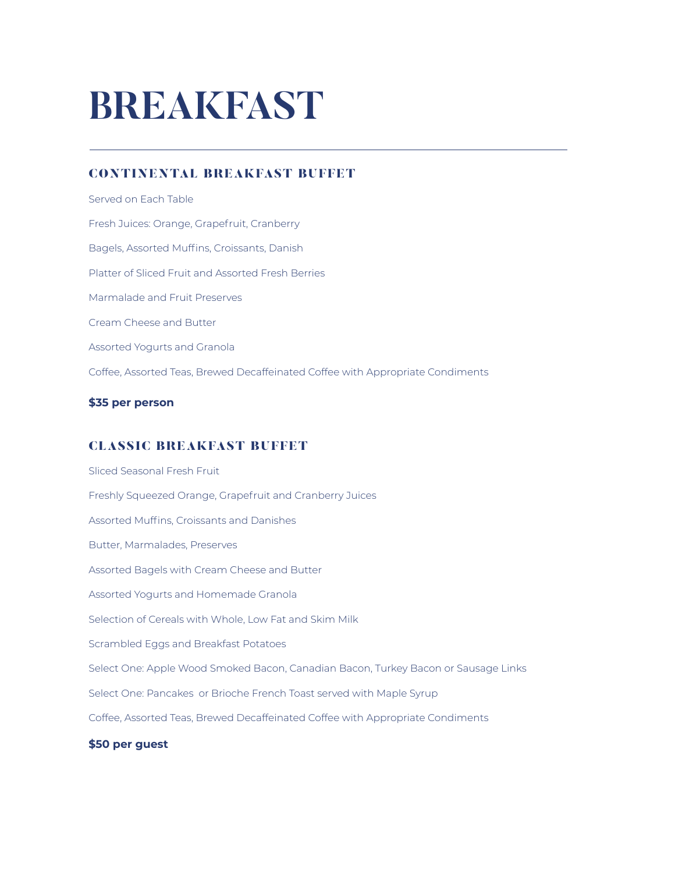# **BREAKFAST**

## CONTINENTAL BREAKFAST BUFFET

Served on Each Table Fresh Juices: Orange, Grapefruit, Cranberry Bagels, Assorted Muffins, Croissants, Danish Platter of Sliced Fruit and Assorted Fresh Berries Marmalade and Fruit Preserves Cream Cheese and Butter Assorted Yogurts and Granola Coffee, Assorted Teas, Brewed Decaffeinated Coffee with Appropriate Condiments

#### **\$35 per person**

## CLASSIC BREAKFAST BUFFET

Sliced Seasonal Fresh Fruit Freshly Squeezed Orange, Grapefruit and Cranberry Juices Assorted Muffins, Croissants and Danishes Butter, Marmalades, Preserves Assorted Bagels with Cream Cheese and Butter Assorted Yogurts and Homemade Granola Selection of Cereals with Whole, Low Fat and Skim Milk Scrambled Eggs and Breakfast Potatoes Select One: Apple Wood Smoked Bacon, Canadian Bacon, Turkey Bacon or Sausage Links Select One: Pancakes or Brioche French Toast served with Maple Syrup Coffee, Assorted Teas, Brewed Decaffeinated Coffee with Appropriate Condiments **\$50 per guest**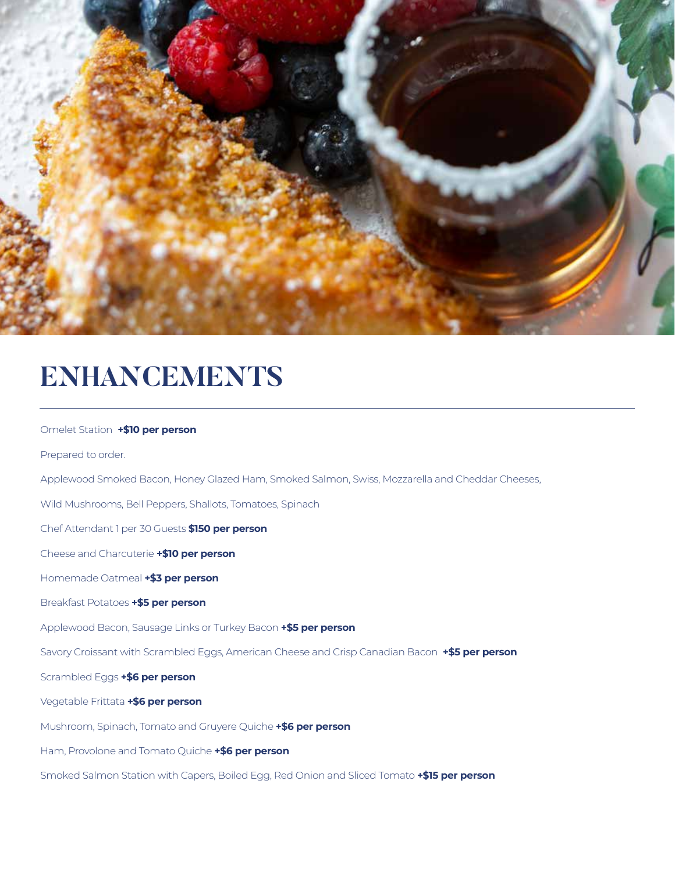

## **ENHANCEMENTS**

## Omelet Station **+\$10 per person** Prepared to order. Applewood Smoked Bacon, Honey Glazed Ham, Smoked Salmon, Swiss, Mozzarella and Cheddar Cheeses, Wild Mushrooms, Bell Peppers, Shallots, Tomatoes, Spinach Chef Attendant 1 per 30 Guests **\$150 per person** Cheese and Charcuterie **+\$10 per person** Homemade Oatmeal **+\$3 per person** Breakfast Potatoes **+\$5 per person** Applewood Bacon, Sausage Links or Turkey Bacon **+\$5 per person** Savory Croissant with Scrambled Eggs, American Cheese and Crisp Canadian Bacon **+\$5 per person** Scrambled Eggs **+\$6 per person** Vegetable Frittata **+\$6 per person** Mushroom, Spinach, Tomato and Gruyere Quiche **+\$6 per person** Ham, Provolone and Tomato Quiche **+\$6 per person** Smoked Salmon Station with Capers, Boiled Egg, Red Onion and Sliced Tomato **+\$15 per person**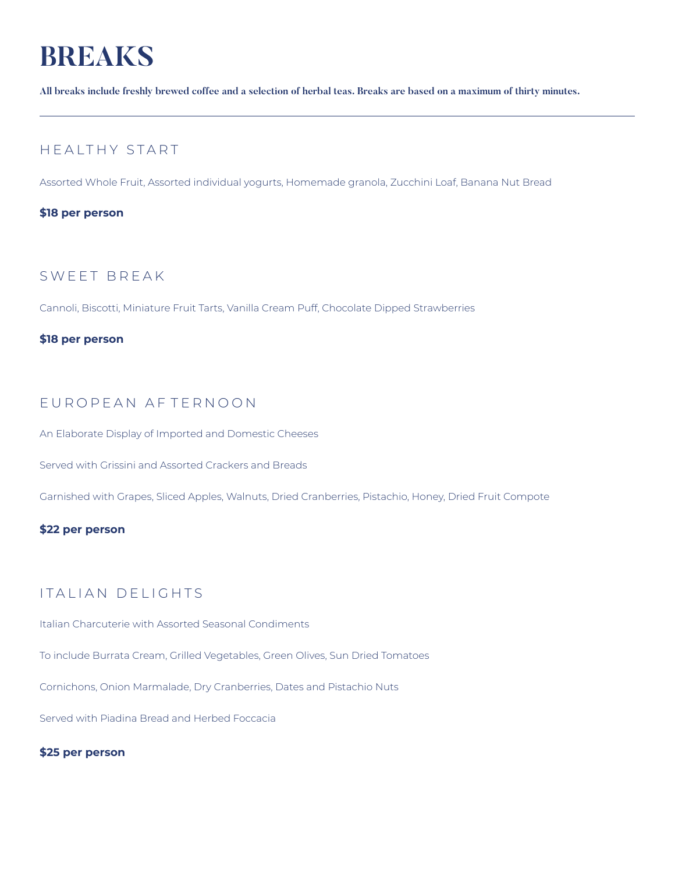# **BREAKS**

**All breaks include freshly brewed coffee and a selection of herbal teas. Breaks are based on a maximum of thirty minutes.**

## HEALTHY START

Assorted Whole Fruit, Assorted individual yogurts, Homemade granola, Zucchini Loaf, Banana Nut Bread

### **\$18 per person**

## SWEET BREAK

Cannoli, Biscotti, Miniature Fruit Tarts, Vanilla Cream Puff, Chocolate Dipped Strawberries

#### **\$18 per person**

## EUROPEAN AFTERNOON

An Elaborate Display of Imported and Domestic Cheeses

Served with Grissini and Assorted Crackers and Breads

Garnished with Grapes, Sliced Apples, Walnuts, Dried Cranberries, Pistachio, Honey, Dried Fruit Compote

#### **\$22 per person**

## ITALIAN DELIGHTS

Italian Charcuterie with Assorted Seasonal Condiments

To include Burrata Cream, Grilled Vegetables, Green Olives, Sun Dried Tomatoes

Cornichons, Onion Marmalade, Dry Cranberries, Dates and Pistachio Nuts

Served with Piadina Bread and Herbed Foccacia

### **\$25 per person**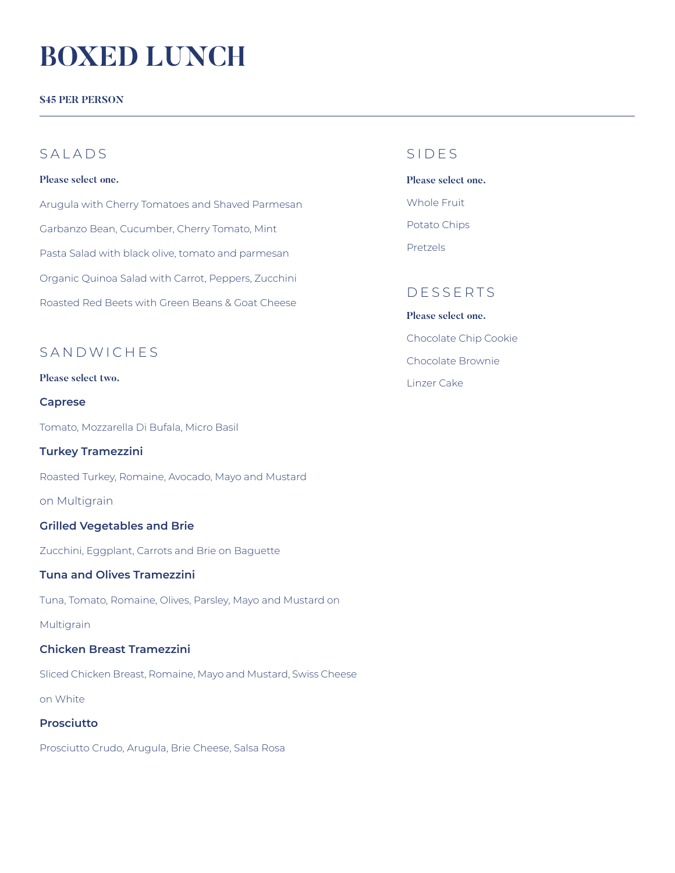# **BOXED LUNCH**

**\$45 PER PERSON**

## SAIAD<sub>S</sub>

#### **Please select one.**

Arugula with Cherry Tomatoes and Shaved Parmesan Garbanzo Bean, Cucumber, Cherry Tomato, Mint Pasta Salad with black olive, tomato and parmesan Organic Quinoa Salad with Carrot, Peppers, Zucchini Roasted Red Beets with Green Beans & Goat Cheese

## SANDWICHES

#### **Please select two.**

#### **Caprese**

Tomato, Mozzarella Di Bufala, Micro Basil

#### **Turkey Tramezzini**

Roasted Turkey, Romaine, Avocado, Mayo and Mustard

on Multigrain

#### **Grilled Vegetables and Brie**

Zucchini, Eggplant, Carrots and Brie on Baguette

#### **Tuna and Olives Tramezzini**

Tuna, Tomato, Romaine, Olives, Parsley, Mayo and Mustard on

#### Multigrain

#### **Chicken Breast Tramezzini**

Sliced Chicken Breast, Romaine, Mayo and Mustard, Swiss Cheese on White

#### **Prosciutto**

Prosciutto Crudo, Arugula, Brie Cheese, Salsa Rosa

## SIDES

**Please select one.** Whole Fruit Potato Chips Pretzels

## DESSERTS

**Please select one.** Chocolate Chip Cookie Chocolate Brownie Linzer Cake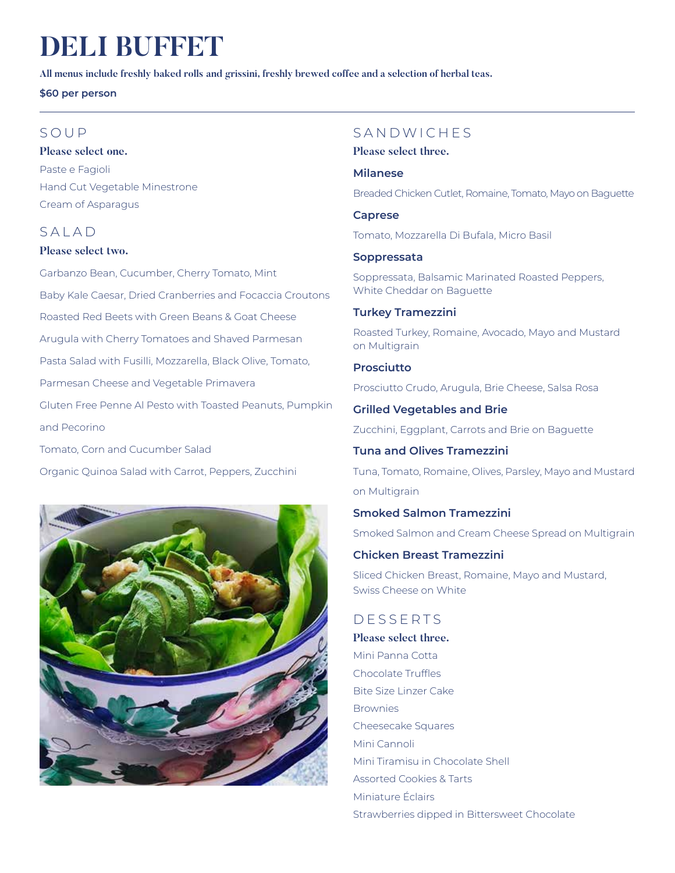# **DELI BUFFET**

**All menus include freshly baked rolls and grissini, freshly brewed coffee and a selection of herbal teas.** 

**\$60 per person**

## SOUP

**Please select one.** Paste e Fagioli Hand Cut Vegetable Minestrone Cream of Asparagus

## SALAD

**Please select two.**

Garbanzo Bean, Cucumber, Cherry Tomato, Mint Baby Kale Caesar, Dried Cranberries and Focaccia Croutons Roasted Red Beets with Green Beans & Goat Cheese Arugula with Cherry Tomatoes and Shaved Parmesan Pasta Salad with Fusilli, Mozzarella, Black Olive, Tomato, Parmesan Cheese and Vegetable Primavera Gluten Free Penne Al Pesto with Toasted Peanuts, Pumpkin and Pecorino Tomato, Corn and Cucumber Salad

Organic Quinoa Salad with Carrot, Peppers, Zucchini



## SANDWICHES

**Please select three.**

### **Milanese**

Breaded Chicken Cutlet, Romaine, Tomato, Mayo on Baguette

**Caprese**

Tomato, Mozzarella Di Bufala, Micro Basil

## **Soppressata**

Soppressata, Balsamic Marinated Roasted Peppers, White Cheddar on Baguette

## **Turkey Tramezzini**

Roasted Turkey, Romaine, Avocado, Mayo and Mustard on Multigrain

## **Prosciutto**

Prosciutto Crudo, Arugula, Brie Cheese, Salsa Rosa

**Grilled Vegetables and Brie**

Zucchini, Eggplant, Carrots and Brie on Baguette

## **Tuna and Olives Tramezzini**

Tuna, Tomato, Romaine, Olives, Parsley, Mayo and Mustard on Multigrain

## **Smoked Salmon Tramezzini**

Smoked Salmon and Cream Cheese Spread on Multigrain

## **Chicken Breast Tramezzini**

Sliced Chicken Breast, Romaine, Mayo and Mustard, Swiss Cheese on White

## DESSERTS

**Please select three.** Mini Panna Cotta Chocolate Truffles Bite Size Linzer Cake **Brownies** Cheesecake Squares Mini Cannoli Mini Tiramisu in Chocolate Shell Assorted Cookies & Tarts Miniature Éclairs Strawberries dipped in Bittersweet Chocolate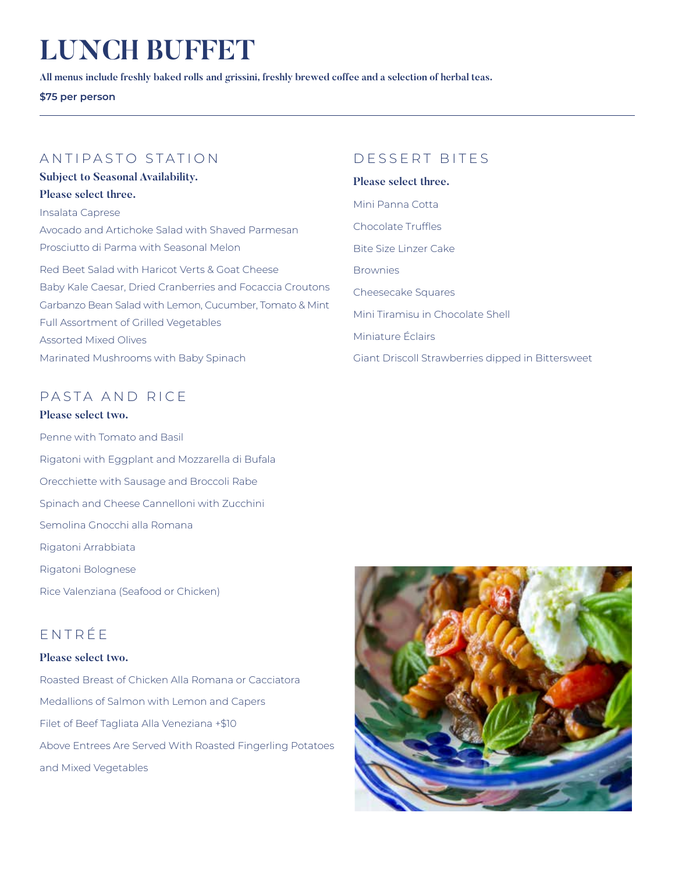# **LUNCH BUFFET**

**All menus include freshly baked rolls and grissini, freshly brewed coffee and a selection of herbal teas.** 

**\$75 per person**

## ANTIPASTO STATION

**Subject to Seasonal Availability. Please select three.** Insalata Caprese Avocado and Artichoke Salad with Shaved Parmesan Prosciutto di Parma with Seasonal Melon Red Beet Salad with Haricot Verts & Goat Cheese Baby Kale Caesar, Dried Cranberries and Focaccia Croutons Garbanzo Bean Salad with Lemon, Cucumber, Tomato & Mint Full Assortment of Grilled Vegetables Assorted Mixed Olives Marinated Mushrooms with Baby Spinach

## PASTA AND RICE

**Please select two.** Penne with Tomato and Basil Rigatoni with Eggplant and Mozzarella di Bufala Orecchiette with Sausage and Broccoli Rabe Spinach and Cheese Cannelloni with Zucchini Semolina Gnocchi alla Romana Rigatoni Arrabbiata

Rice Valenziana (Seafood or Chicken)

Rigatoni Bolognese

## ENTRÉE

### **Please select two.**

Roasted Breast of Chicken Alla Romana or Cacciatora Medallions of Salmon with Lemon and Capers Filet of Beef Tagliata Alla Veneziana +\$10 Above Entrees Are Served With Roasted Fingerling Potatoes and Mixed Vegetables

## D ESSERT BITES

#### **Please select three.**

Mini Panna Cotta Chocolate Truffles Bite Size Linzer Cake Brownies Cheesecake Squares Mini Tiramisu in Chocolate Shell Miniature Éclairs Giant Driscoll Strawberries dipped in Bittersweet

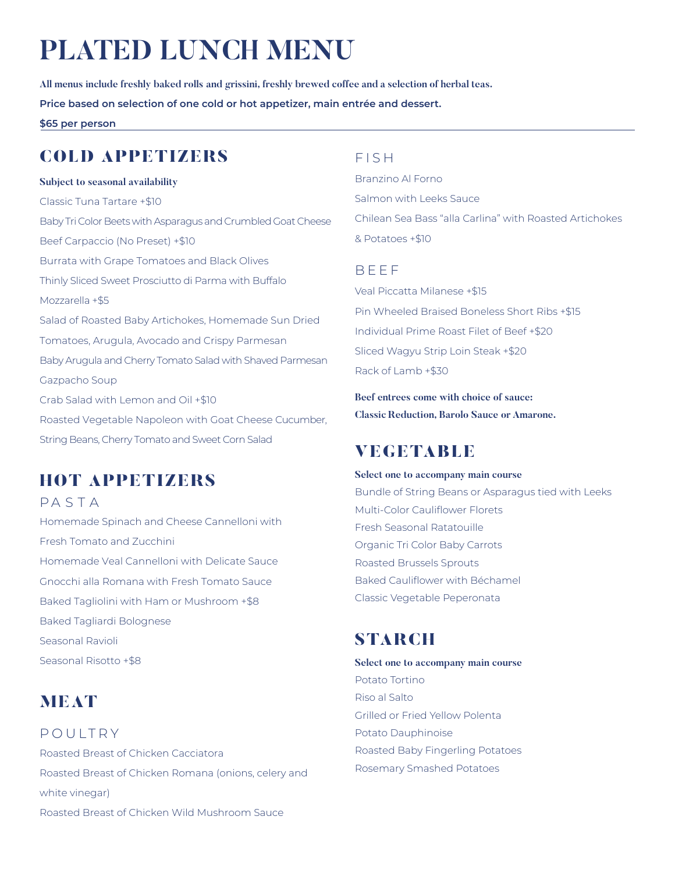# **PLATED LUNCH MENU**

**All menus include freshly baked rolls and grissini, freshly brewed coffee and a selection of herbal teas. Price based on selection of one cold or hot appetizer, main entrée and dessert.**

**\$65 per person**

## COLD APPETIZERS

#### **Subject to seasonal availability**

Classic Tuna Tartare +\$10 Baby Tri Color Beets with Asparagus and Crumbled Goat Cheese Beef Carpaccio (No Preset) +\$10 Burrata with Grape Tomatoes and Black Olives Thinly Sliced Sweet Prosciutto di Parma with Buffalo Mozzarella +\$5 Salad of Roasted Baby Artichokes, Homemade Sun Dried Tomatoes, Arugula, Avocado and Crispy Parmesan Baby Arugula and Cherry Tomato Salad with Shaved Parmesan Gazpacho Soup Crab Salad with Lemon and Oil +\$10 Roasted Vegetable Napoleon with Goat Cheese Cucumber, String Beans, Cherry Tomato and Sweet Corn Salad

## HOT APPETIZERS

**PASTA** 

Homemade Spinach and Cheese Cannelloni with Fresh Tomato and Zucchini Homemade Veal Cannelloni with Delicate Sauce Gnocchi alla Romana with Fresh Tomato Sauce Baked Tagliolini with Ham or Mushroom +\$8 Baked Tagliardi Bolognese Seasonal Ravioli Seasonal Risotto +\$8

## **MEAT**

POULTRY Roasted Breast of Chicken Cacciatora Roasted Breast of Chicken Romana (onions, celery and white vinegar) Roasted Breast of Chicken Wild Mushroom Sauce

## FISH

Branzino Al Forno Salmon with Leeks Sauce Chilean Sea Bass "alla Carlina" with Roasted Artichokes & Potatoes +\$10

## **BFFF**

Veal Piccatta Milanese +\$15 Pin Wheeled Braised Boneless Short Ribs +\$15 Individual Prime Roast Filet of Beef +\$20 Sliced Wagyu Strip Loin Steak +\$20 Rack of Lamb +\$30

**Beef entrees come with choice of sauce: Classic Reduction, Barolo Sauce or Amarone.**

## VEGETABLE

**Select one to accompany main course** Bundle of String Beans or Asparagus tied with Leeks Multi-Color Cauliflower Florets Fresh Seasonal Ratatouille Organic Tri Color Baby Carrots Roasted Brussels Sprouts Baked Cauliflower with Béchamel Classic Vegetable Peperonata

## **STARCH**

**Select one to accompany main course** Potato Tortino Riso al Salto Grilled or Fried Yellow Polenta Potato Dauphinoise Roasted Baby Fingerling Potatoes Rosemary Smashed Potatoes